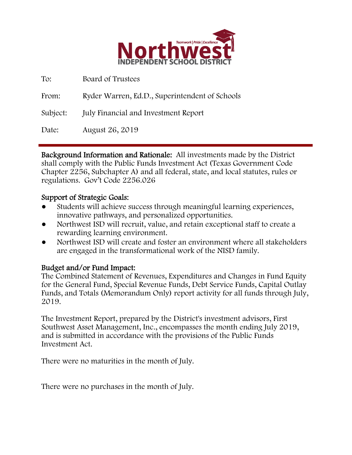

| To:      | Board of Trustees                              |
|----------|------------------------------------------------|
| From:    | Ryder Warren, Ed.D., Superintendent of Schools |
| Subject: | <b>July Financial and Investment Report</b>    |
| Date:    | August 26, 2019                                |

Background Information and Rationale: All investments made by the District shall comply with the Public Funds Investment Act (Texas Government Code Chapter 2256, Subchapter A) and all federal, state, and local statutes, rules or regulations. Gov't Code 2256.026

## Support of Strategic Goals:

- Students will achieve success through meaningful learning experiences, innovative pathways, and personalized opportunities.
- Northwest ISD will recruit, value, and retain exceptional staff to create a rewarding learning environment.
- Northwest ISD will create and foster an environment where all stakeholders are engaged in the transformational work of the NISD family.

## Budget and/or Fund Impact:

The Combined Statement of Revenues, Expenditures and Changes in Fund Equity for the General Fund, Special Revenue Funds, Debt Service Funds, Capital Outlay Funds, and Totals (Memorandum Only) report activity for all funds through July, 2019.

The Investment Report, prepared by the District's investment advisors, First Southwest Asset Management, Inc., encompasses the month ending July 2019, and is submitted in accordance with the provisions of the Public Funds Investment Act.

There were no maturities in the month of July.

There were no purchases in the month of July.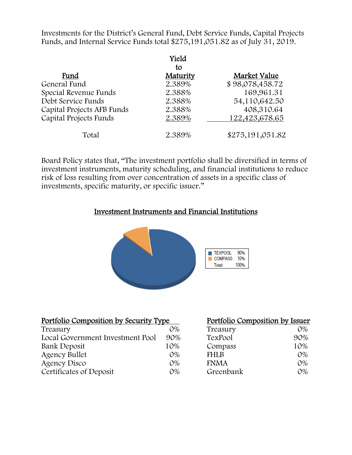Investments for the District's General Fund, Debt Service Funds, Capital Projects Funds, and Internal Service Funds total \$275,191,051.82 as of July 31, 2019.

|                            | Yield<br>to |                  |
|----------------------------|-------------|------------------|
| Fund                       | Maturity    | Market Value     |
| General Fund               | 2.389%      | \$98,078,458.72  |
| Special Revenue Funds      | 2.388%      | 169,961.31       |
| Debt Service Funds         | 2.388%      | 54,110,642.50    |
| Capital Projects AFB Funds | 2.388%      | 408,310.64       |
| Capital Projects Funds     | 2.389%      | 122,423,678.65   |
| Total                      | 2.389%      | \$275,191,051.82 |

Board Policy states that, "The investment portfolio shall be diversified in terms of investment instruments, maturity scheduling, and financial institutions to reduce risk of loss resulting from over concentration of assets in a specific class of investments, specific maturity, or specific issuer."

### Investment Instruments and Financial Institutions



| <u>Portfolio Composition by Security Type</u> |       | Portfolio Composition by Issuer |       |
|-----------------------------------------------|-------|---------------------------------|-------|
| Treasury                                      | 0%    | Treasury                        | 0%    |
| Local Government Investment Pool              | 90%   | TexPool                         | 90%   |
| Bank Deposit                                  | 10%   | Compass                         | 10%   |
| <b>Agency Bullet</b>                          | $O\%$ | <b>FHLB</b>                     | $O\%$ |
| Agency Disco                                  | $O\%$ | <b>FNMA</b>                     | $O\%$ |
| Certificates of Deposit                       | 0%    | Greenbank                       | 0%    |

#### Portfolio Composition by Issuer

| Treasury    | $O\%$      |
|-------------|------------|
| TexPool     | 90%        |
| Compass     | 10%        |
| <b>FHLB</b> | $O\%$      |
| <b>FNMA</b> | 0%         |
| Greenbank   | $\Omega\%$ |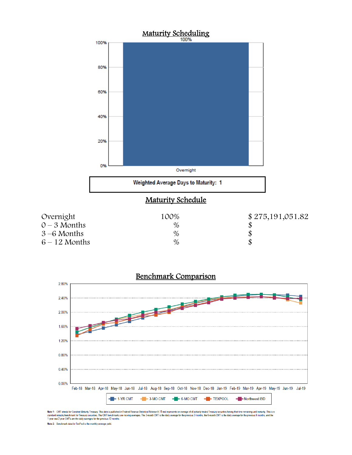



Note 1: CMT stands for Constant Maturity Treasury. This data is published in Federal Reserve Statistical Release H.15 and represents an average of all actively traded Treasury securities having that time remaining until ma

Note 2: Benchmark data for TexPool is the monthly average yield.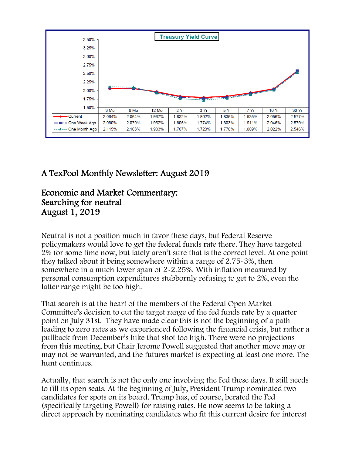

# A TexPool Monthly Newsletter: August 2019

# Economic and Market Commentary: Searching for neutral August 1, 2019

Neutral is not a position much in favor these days, but Federal Reserve policymakers would love to get the federal funds rate there. They have targeted 2% for some time now, but lately aren't sure that is the correct level. At one point they talked about it being somewhere within a range of 2.75-3%, then somewhere in a much lower span of 2-2.25%. With inflation measured by personal consumption expenditures stubbornly refusing to get to 2%, even the latter range might be too high.

That search is at the heart of the members of the Federal Open Market Committee's decision to cut the target range of the fed funds rate by a quarter point on July 31st. They have made clear this is not the beginning of a path leading to zero rates as we experienced following the financial crisis, but rather a pullback from December's hike that shot too high. There were no projections from this meeting, but Chair Jerome Powell suggested that another move may or may not be warranted, and the futures market is expecting at least one more. The hunt continues.

Actually, that search is not the only one involving the Fed these days. It still needs to fill its open seats. At the beginning of July, President Trump nominated two candidates for spots on its board. Trump has, of course, berated the Fed (specifically targeting Powell) for raising rates. He now seems to be taking a direct approach by nominating candidates who fit this current desire for interest